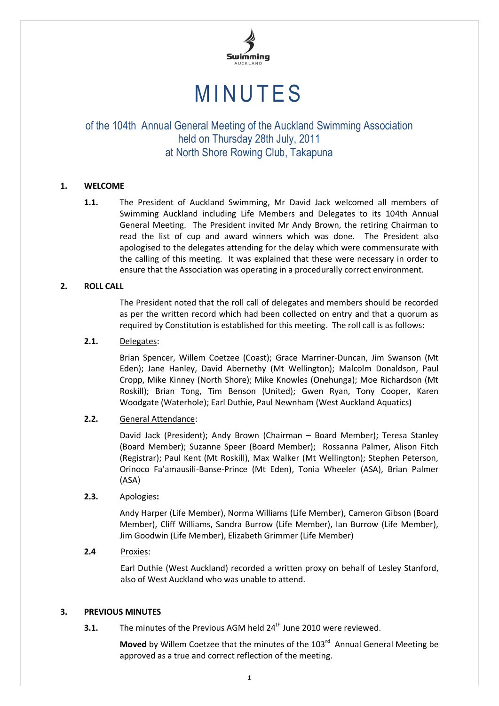

# **MINUTES**

# of the 104th Annual General Meeting of the Auckland Swimming Association held on Thursday 28th July, 2011 at North Shore Rowing Club, Takapuna

# **1. WELCOME**

**1.1.** The President of Auckland Swimming, Mr David Jack welcomed all members of Swimming Auckland including Life Members and Delegates to its 104th Annual General Meeting. The President invited Mr Andy Brown, the retiring Chairman to read the list of cup and award winners which was done. The President also apologised to the delegates attending for the delay which were commensurate with the calling of this meeting. It was explained that these were necessary in order to ensure that the Association was operating in a procedurally correct environment.

# **2. ROLL CALL**

The President noted that the roll call of delegates and members should be recorded as per the written record which had been collected on entry and that a quorum as required by Constitution is established for this meeting. The roll call is as follows:

# **2.1.** Delegates:

Brian Spencer, Willem Coetzee (Coast); Grace Marriner-Duncan, Jim Swanson (Mt Eden); Jane Hanley, David Abernethy (Mt Wellington); Malcolm Donaldson, Paul Cropp, Mike Kinney (North Shore); Mike Knowles (Onehunga); Moe Richardson (Mt Roskill); Brian Tong, Tim Benson (United); Gwen Ryan, Tony Cooper, Karen Woodgate (Waterhole); Earl Duthie, Paul Newnham (West Auckland Aquatics)

# **2.2.** General Attendance:

David Jack (President); Andy Brown (Chairman – Board Member); Teresa Stanley (Board Member); Suzanne Speer (Board Member); Rossanna Palmer, Alison Fitch (Registrar); Paul Kent (Mt Roskill), Max Walker (Mt Wellington); Stephen Peterson, Orinoco Fa'amausili-Banse-Prince (Mt Eden), Tonia Wheeler (ASA), Brian Palmer (ASA)

# **2.3.** Apologies**:**

Andy Harper (Life Member), Norma Williams (Life Member), Cameron Gibson (Board Member), Cliff Williams, Sandra Burrow (Life Member), Ian Burrow (Life Member), Jim Goodwin (Life Member), Elizabeth Grimmer (Life Member)

# **2.4** Proxies:

Earl Duthie (West Auckland) recorded a written proxy on behalf of Lesley Stanford, also of West Auckland who was unable to attend.

# **3. PREVIOUS MINUTES**

**3.1.** The minutes of the Previous AGM held 24<sup>th</sup> June 2010 were reviewed.

Moved by Willem Coetzee that the minutes of the 103<sup>rd</sup> Annual General Meeting be approved as a true and correct reflection of the meeting.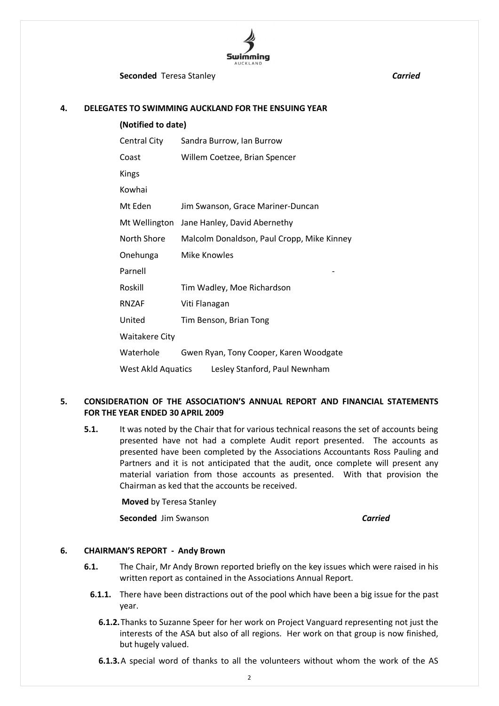

**Seconded** Teresa Stanley **Carried Carried** 

#### **4. DELEGATES TO SWIMMING AUCKLAND FOR THE ENSUING YEAR**

| (Notified to date)                                         |                                            |  |  |
|------------------------------------------------------------|--------------------------------------------|--|--|
| Central City                                               | Sandra Burrow, Ian Burrow                  |  |  |
| Coast                                                      | Willem Coetzee, Brian Spencer              |  |  |
| Kings                                                      |                                            |  |  |
| Kowhai                                                     |                                            |  |  |
| Mt Eden                                                    | Jim Swanson, Grace Mariner-Duncan          |  |  |
| Mt Wellington                                              | Jane Hanley, David Abernethy               |  |  |
| North Shore                                                | Malcolm Donaldson, Paul Cropp, Mike Kinney |  |  |
| Onehunga                                                   | <b>Mike Knowles</b>                        |  |  |
| Parnell                                                    |                                            |  |  |
| Roskill                                                    | Tim Wadley, Moe Richardson                 |  |  |
| RNZAF                                                      | Viti Flanagan                              |  |  |
| United                                                     | Tim Benson, Brian Tong                     |  |  |
| <b>Waitakere City</b>                                      |                                            |  |  |
| Waterhole                                                  | Gwen Ryan, Tony Cooper, Karen Woodgate     |  |  |
| <b>West Akld Aquatics</b><br>Lesley Stanford, Paul Newnham |                                            |  |  |

# **5. CONSIDERATION OF THE ASSOCIATION'S ANNUAL REPORT AND FINANCIAL STATEMENTS FOR THE YEAR ENDED 30 APRIL 2009**

**5.1.** It was noted by the Chair that for various technical reasons the set of accounts being presented have not had a complete Audit report presented. The accounts as presented have been completed by the Associations Accountants Ross Pauling and Partners and it is not anticipated that the audit, once complete will present any material variation from those accounts as presented. With that provision the Chairman as ked that the accounts be received.

**Moved** by Teresa Stanley

**Seconded** Jim Swanson *Carried*

# **6. CHAIRMAN'S REPORT - Andy Brown**

- **6.1.** The Chair, Mr Andy Brown reported briefly on the key issues which were raised in his written report as contained in the Associations Annual Report.
	- **6.1.1.** There have been distractions out of the pool which have been a big issue for the past year.
		- **6.1.2.**Thanks to Suzanne Speer for her work on Project Vanguard representing not just the interests of the ASA but also of all regions. Her work on that group is now finished, but hugely valued.
		- **6.1.3.**A special word of thanks to all the volunteers without whom the work of the AS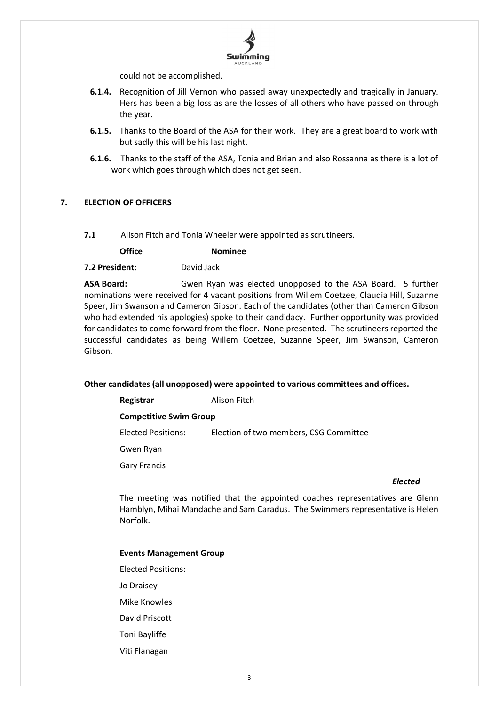

could not be accomplished.

- **6.1.4.** Recognition of Jill Vernon who passed away unexpectedly and tragically in January. Hers has been a big loss as are the losses of all others who have passed on through the year.
- **6.1.5.** Thanks to the Board of the ASA for their work. They are a great board to work with but sadly this will be his last night.
- **6.1.6.** Thanks to the staff of the ASA, Tonia and Brian and also Rossanna as there is a lot of work which goes through which does not get seen.

# **7. ELECTION OF OFFICERS**

**7.1** Alison Fitch and Tonia Wheeler were appointed as scrutineers.

**Office Nominee**

**7.2 President:** David Jack

**ASA Board:** Gwen Ryan was elected unopposed to the ASA Board. 5 further nominations were received for 4 vacant positions from Willem Coetzee, Claudia Hill, Suzanne Speer, Jim Swanson and Cameron Gibson. Each of the candidates (other than Cameron Gibson who had extended his apologies) spoke to their candidacy. Further opportunity was provided for candidates to come forward from the floor. None presented. The scrutineers reported the successful candidates as being Willem Coetzee, Suzanne Speer, Jim Swanson, Cameron Gibson.

#### **Other candidates (all unopposed) were appointed to various committees and offices.**

| Registrar                     | Alison Fitch                           |  |  |  |
|-------------------------------|----------------------------------------|--|--|--|
| <b>Competitive Swim Group</b> |                                        |  |  |  |
| Elected Positions:            | Election of two members, CSG Committee |  |  |  |
| Gwen Ryan                     |                                        |  |  |  |
| <b>Gary Francis</b>           |                                        |  |  |  |

#### *Elected*

The meeting was notified that the appointed coaches representatives are Glenn Hamblyn, Mihai Mandache and Sam Caradus. The Swimmers representative is Helen Norfolk.

#### **Events Management Group**

- Elected Positions:
- Jo Draisey
- Mike Knowles
- David Priscott
- Toni Bayliffe
- Viti Flanagan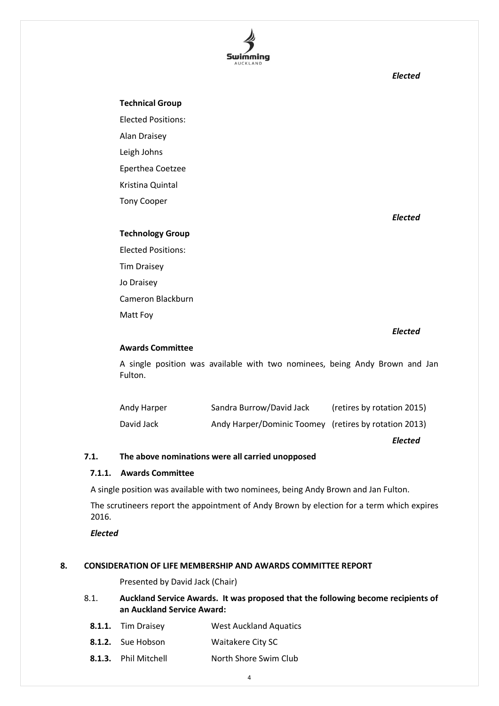

*Elected*

#### **Technical Group**

Elected Positions: Alan Draisey Leigh Johns Eperthea Coetzee Kristina Quintal

Tony Cooper

*Elected*

# **Technology Group**

Elected Positions: Tim Draisey Jo Draisey Cameron Blackburn Matt Foy

#### *Elected*

# **Awards Committee**

A single position was available with two nominees, being Andy Brown and Jan Fulton.

| Andy Harper | Sandra Burrow/David Jack                              | (retires by rotation 2015) |
|-------------|-------------------------------------------------------|----------------------------|
| David Jack  | Andy Harper/Dominic Toomey (retires by rotation 2013) |                            |

*Elected*

# **7.1. The above nominations were all carried unopposed**

#### **7.1.1. Awards Committee**

A single position was available with two nominees, being Andy Brown and Jan Fulton.

The scrutineers report the appointment of Andy Brown by election for a term which expires 2016.

*Elected*

#### **8. CONSIDERATION OF LIFE MEMBERSHIP AND AWARDS COMMITTEE REPORT**

Presented by David Jack (Chair)

- 8.1. **Auckland Service Awards. It was proposed that the following become recipients of an Auckland Service Award:**
- **8.1.1.** Tim Draisey **West Auckland Aquatics**
- **8.1.2.** Sue Hobson Waitakere City SC
- **8.1.3.** Phil Mitchell North Shore Swim Club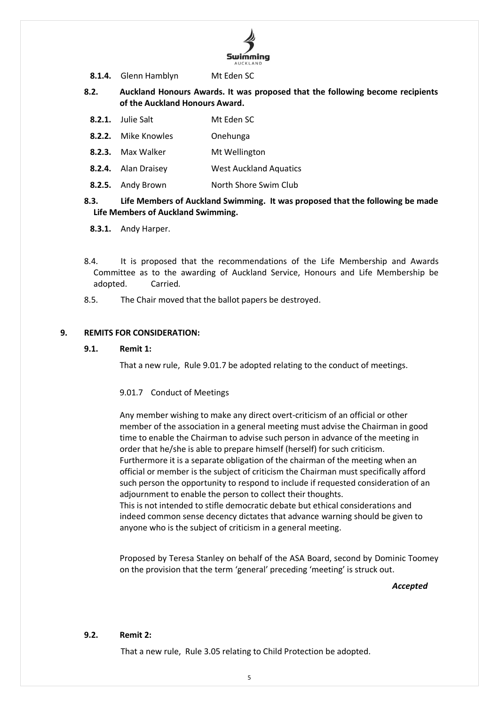

- **8.1.4.** Glenn Hamblyn Mt Eden SC
- **8.2. Auckland Honours Awards. It was proposed that the following become recipients of the Auckland Honours Award.**
	- **8.2.1.** Julie Salt Mt Eden SC
	- **8.2.2.** Mike Knowles **Onehunga**
	- **8.2.3.** Max Walker Mt Wellington
	- **8.2.4.** Alan Draisey West Auckland Aquatics
- **8.2.5.** Andy Brown **North Shore Swim Club**

# **8.3. Life Members of Auckland Swimming. It was proposed that the following be made Life Members of Auckland Swimming.**

- **8.3.1.** Andy Harper.
- 8.4. It is proposed that the recommendations of the Life Membership and Awards Committee as to the awarding of Auckland Service, Honours and Life Membership be adopted. Carried.
- 8.5. The Chair moved that the ballot papers be destroyed.

#### **9. REMITS FOR CONSIDERATION:**

#### **9.1. Remit 1:**

That a new rule, Rule 9.01.7 be adopted relating to the conduct of meetings.

#### 9.01.7 Conduct of Meetings

Any member wishing to make any direct overt-criticism of an official or other member of the association in a general meeting must advise the Chairman in good time to enable the Chairman to advise such person in advance of the meeting in order that he/she is able to prepare himself (herself) for such criticism. Furthermore it is a separate obligation of the chairman of the meeting when an official or member is the subject of criticism the Chairman must specifically afford such person the opportunity to respond to include if requested consideration of an adjournment to enable the person to collect their thoughts. This is not intended to stifle democratic debate but ethical considerations and indeed common sense decency dictates that advance warning should be given to

Proposed by Teresa Stanley on behalf of the ASA Board, second by Dominic Toomey on the provision that the term 'general' preceding 'meeting' is struck out.

*Accepted*

#### **9.2. Remit 2:**

That a new rule, Rule 3.05 relating to Child Protection be adopted.

anyone who is the subject of criticism in a general meeting.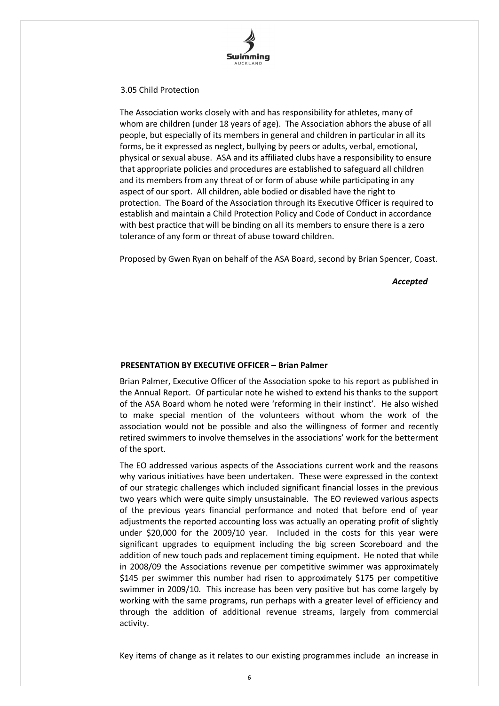

#### 3.05 Child Protection

The Association works closely with and has responsibility for athletes, many of whom are children (under 18 years of age). The Association abhors the abuse of all people, but especially of its members in general and children in particular in all its forms, be it expressed as neglect, bullying by peers or adults, verbal, emotional, physical or sexual abuse. ASA and its affiliated clubs have a responsibility to ensure that appropriate policies and procedures are established to safeguard all children and its members from any threat of or form of abuse while participating in any aspect of our sport. All children, able bodied or disabled have the right to protection. The Board of the Association through its Executive Officer is required to establish and maintain a Child Protection Policy and Code of Conduct in accordance with best practice that will be binding on all its members to ensure there is a zero tolerance of any form or threat of abuse toward children.

Proposed by Gwen Ryan on behalf of the ASA Board, second by Brian Spencer, Coast.

*Accepted*

# **PRESENTATION BY EXECUTIVE OFFICER – Brian Palmer**

Brian Palmer, Executive Officer of the Association spoke to his report as published in the Annual Report. Of particular note he wished to extend his thanks to the support of the ASA Board whom he noted were 'reforming in their instinct'. He also wished to make special mention of the volunteers without whom the work of the association would not be possible and also the willingness of former and recently retired swimmers to involve themselves in the associations' work for the betterment of the sport.

The EO addressed various aspects of the Associations current work and the reasons why various initiatives have been undertaken. These were expressed in the context of our strategic challenges which included significant financial losses in the previous two years which were quite simply unsustainable. The EO reviewed various aspects of the previous years financial performance and noted that before end of year adjustments the reported accounting loss was actually an operating profit of slightly under \$20,000 for the 2009/10 year. Included in the costs for this year were significant upgrades to equipment including the big screen Scoreboard and the addition of new touch pads and replacement timing equipment. He noted that while in 2008/09 the Associations revenue per competitive swimmer was approximately \$145 per swimmer this number had risen to approximately \$175 per competitive swimmer in 2009/10. This increase has been very positive but has come largely by working with the same programs, run perhaps with a greater level of efficiency and through the addition of additional revenue streams, largely from commercial activity.

Key items of change as it relates to our existing programmes include an increase in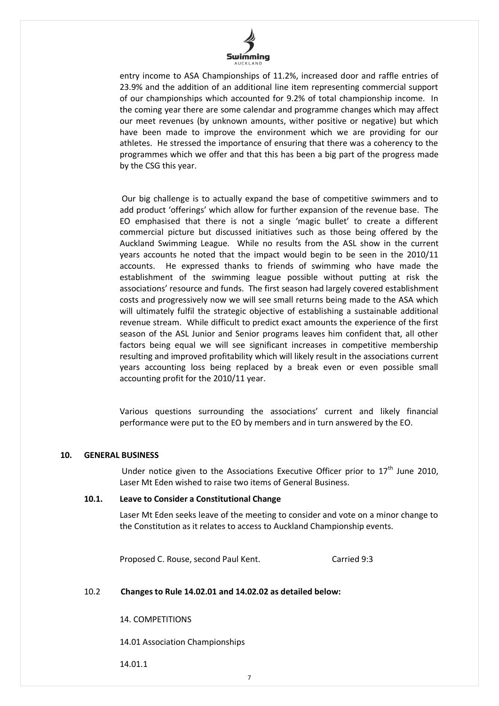

entry income to ASA Championships of 11.2%, increased door and raffle entries of 23.9% and the addition of an additional line item representing commercial support of our championships which accounted for 9.2% of total championship income. In the coming year there are some calendar and programme changes which may affect our meet revenues (by unknown amounts, wither positive or negative) but which have been made to improve the environment which we are providing for our athletes. He stressed the importance of ensuring that there was a coherency to the programmes which we offer and that this has been a big part of the progress made by the CSG this year.

Our big challenge is to actually expand the base of competitive swimmers and to add product 'offerings' which allow for further expansion of the revenue base. The EO emphasised that there is not a single 'magic bullet' to create a different commercial picture but discussed initiatives such as those being offered by the Auckland Swimming League. While no results from the ASL show in the current years accounts he noted that the impact would begin to be seen in the 2010/11 accounts. He expressed thanks to friends of swimming who have made the establishment of the swimming league possible without putting at risk the associations' resource and funds. The first season had largely covered establishment costs and progressively now we will see small returns being made to the ASA which will ultimately fulfil the strategic objective of establishing a sustainable additional revenue stream. While difficult to predict exact amounts the experience of the first season of the ASL Junior and Senior programs leaves him confident that, all other factors being equal we will see significant increases in competitive membership resulting and improved profitability which will likely result in the associations current years accounting loss being replaced by a break even or even possible small accounting profit for the 2010/11 year.

Various questions surrounding the associations' current and likely financial performance were put to the EO by members and in turn answered by the EO.

### **10. GENERAL BUSINESS**

Under notice given to the Associations Executive Officer prior to  $17<sup>th</sup>$  June 2010, Laser Mt Eden wished to raise two items of General Business.

#### **10.1. Leave to Consider a Constitutional Change**

Laser Mt Eden seeks leave of the meeting to consider and vote on a minor change to the Constitution as it relates to access to Auckland Championship events.

Proposed C. Rouse, second Paul Kent. Carried 9:3

# 10.2 **Changes to Rule 14.02.01 and 14.02.02 as detailed below:**

14. COMPETITIONS

14.01 Association Championships

14.01.1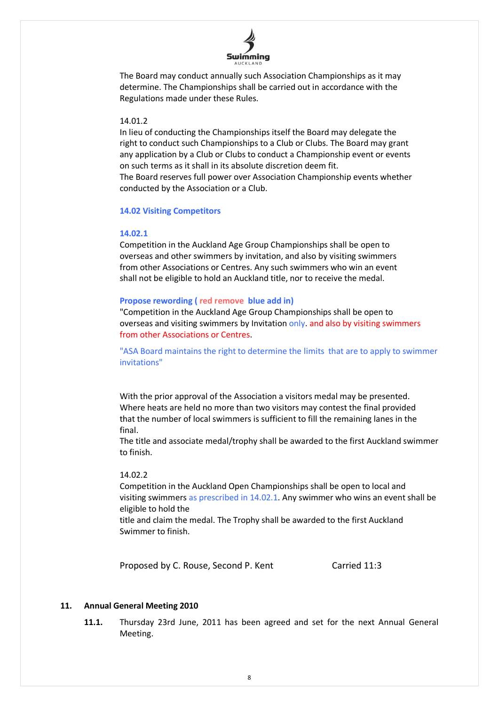

The Board may conduct annually such Association Championships as it may determine. The Championships shall be carried out in accordance with the Regulations made under these Rules.

## 14.01.2

In lieu of conducting the Championships itself the Board may delegate the right to conduct such Championships to a Club or Clubs. The Board may grant any application by a Club or Clubs to conduct a Championship event or events on such terms as it shall in its absolute discretion deem fit.

The Board reserves full power over Association Championship events whether conducted by the Association or a Club.

#### **14.02 Visiting Competitors**

#### **14.02.1**

Competition in the Auckland Age Group Championships shall be open to overseas and other swimmers by invitation, and also by visiting swimmers from other Associations or Centres. Any such swimmers who win an event shall not be eligible to hold an Auckland title, nor to receive the medal.

#### **Propose rewording ( red remove blue add in)**

"Competition in the Auckland Age Group Championships shall be open to overseas and visiting swimmers by Invitation only. and also by visiting swimmers from other Associations or Centres.

"ASA Board maintains the right to determine the limits that are to apply to swimmer invitations"

With the prior approval of the Association a visitors medal may be presented. Where heats are held no more than two visitors may contest the final provided that the number of local swimmers is sufficient to fill the remaining lanes in the final.

The title and associate medal/trophy shall be awarded to the first Auckland swimmer to finish.

#### 14.02.2

Competition in the Auckland Open Championships shall be open to local and visiting swimmers as prescribed in 14.02.1. Any swimmer who wins an event shall be eligible to hold the

title and claim the medal. The Trophy shall be awarded to the first Auckland Swimmer to finish.

Proposed by C. Rouse, Second P. Kent Carried 11:3

# **11. Annual General Meeting 2010**

**11.1.** Thursday 23rd June, 2011 has been agreed and set for the next Annual General Meeting.